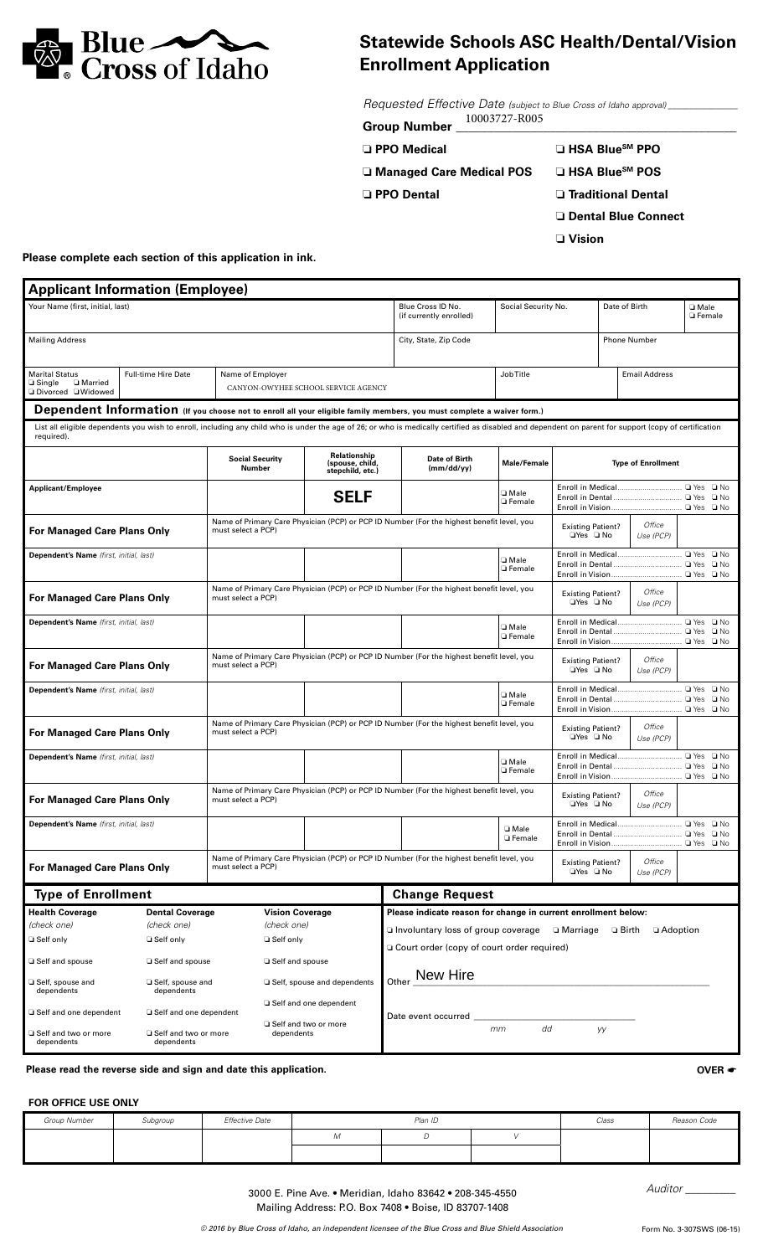

## **Statewide Schools ASC Health/Dental/Vision Enrollment Application**

*Requested Effective Date (subject to Blue Cross of Idaho approval) \_\_\_\_\_\_\_\_\_\_\_\_\_\_\_\_* 10003727-R005

| □ PPO Medical | $\Box$ HSA Blue <sup>sM</sup> PPO |
|---------------|-----------------------------------|
|               |                                   |

❏ **Managed Care Medical POS** ❏ **HSA BlueSM POS**

❏ **PPO Dental** ❏ **Traditional Dental**

❏ **Dental Blue Connect**

❏ **Vision**

**Please complete each section of this application in ink.**

| <b>Applicant Information (Employee)</b>                                                                                                                                                 |                                                                                  |                                              |                                                     |                                                                                                                                                                                                       |                                  |                                                              |                           |                            |                                              |
|-----------------------------------------------------------------------------------------------------------------------------------------------------------------------------------------|----------------------------------------------------------------------------------|----------------------------------------------|-----------------------------------------------------|-------------------------------------------------------------------------------------------------------------------------------------------------------------------------------------------------------|----------------------------------|--------------------------------------------------------------|---------------------------|----------------------------|----------------------------------------------|
| Your Name (first, initial, last)                                                                                                                                                        |                                                                                  | Blue Cross ID No.<br>(if currently enrolled) | Social Security No.                                 |                                                                                                                                                                                                       | Date of Birth                    |                                                              | □ Male<br><b>G</b> Female |                            |                                              |
| <b>Mailing Address</b>                                                                                                                                                                  |                                                                                  |                                              |                                                     | City, State, Zip Code                                                                                                                                                                                 |                                  | <b>Phone Number</b>                                          |                           |                            |                                              |
| <b>Marital Status</b>                                                                                                                                                                   | <b>Full-time Hire Date</b>                                                       | Name of Employer                             |                                                     |                                                                                                                                                                                                       | <b>Job Title</b>                 |                                                              |                           | <b>Email Address</b>       |                                              |
| □ Married<br>$\Box$ Single<br>□ Divorced □ Widowed                                                                                                                                      |                                                                                  |                                              | CANYON-OWYHEE SCHOOL SERVICE AGENCY                 |                                                                                                                                                                                                       |                                  |                                                              |                           |                            |                                              |
|                                                                                                                                                                                         |                                                                                  |                                              |                                                     | Dependent Information (If you choose not to enroll all your eligible family members, you must complete a waiver form.)                                                                                |                                  |                                                              |                           |                            |                                              |
| required).                                                                                                                                                                              |                                                                                  |                                              |                                                     | List all eligible dependents you wish to enroll, including any child who is under the age of 26; or who is medically certified as disabled and dependent on parent for support (copy of certification |                                  |                                                              |                           |                            |                                              |
|                                                                                                                                                                                         |                                                                                  | <b>Social Security</b><br>Number             | Relationship<br>(spouse, child,<br>stepchild, etc.) | Date of Birth<br>(mm/dd/yy)                                                                                                                                                                           | Male/Female                      | <b>Type of Enrollment</b>                                    |                           |                            |                                              |
| <b>Applicant/Employee</b>                                                                                                                                                               |                                                                                  |                                              | <b>SELF</b>                                         |                                                                                                                                                                                                       | <b>D</b> Male<br><b>Q</b> Female |                                                              |                           |                            |                                              |
| For Managed Care Plans Only                                                                                                                                                             |                                                                                  | must select a PCP)                           |                                                     | Name of Primary Care Physician (PCP) or PCP ID Number (For the highest benefit level, you                                                                                                             |                                  | <b>Existing Patient?</b><br>□Yes □ No                        |                           | Office<br>Use (PCP)        |                                              |
| Dependent's Name (first, initial, last)                                                                                                                                                 |                                                                                  |                                              |                                                     |                                                                                                                                                                                                       | □ Male<br>□ Female               |                                                              |                           |                            | □ Yes □ No<br>□ No                           |
| For Managed Care Plans Only                                                                                                                                                             |                                                                                  | must select a PCP)                           |                                                     | Name of Primary Care Physician (PCP) or PCP ID Number (For the highest benefit level, you                                                                                                             |                                  | Office<br><b>Existing Patient?</b><br>□Yes □ No<br>Use (PCP) |                           |                            |                                              |
| Dependent's Name (first, initial, last)                                                                                                                                                 |                                                                                  |                                              |                                                     |                                                                                                                                                                                                       | □ Male<br><b>Q</b> Female        |                                                              |                           | □ Yes □ No<br>$\square$ No |                                              |
| For Managed Care Plans Only                                                                                                                                                             |                                                                                  | must select a PCP)                           |                                                     | Name of Primary Care Physician (PCP) or PCP ID Number (For the highest benefit level, you                                                                                                             |                                  | Office<br><b>Existing Patient?</b><br>□Yes □ No<br>Use (PCP) |                           |                            |                                              |
| Dependent's Name (first, initial, last)                                                                                                                                                 |                                                                                  |                                              |                                                     |                                                                                                                                                                                                       | □ Male                           |                                                              |                           |                            | □ Yes □ No                                   |
|                                                                                                                                                                                         |                                                                                  |                                              |                                                     |                                                                                                                                                                                                       | □ Female                         |                                                              |                           |                            | □ No                                         |
| For Managed Care Plans Only                                                                                                                                                             |                                                                                  | must select a PCP)                           |                                                     | Name of Primary Care Physician (PCP) or PCP ID Number (For the highest benefit level, you                                                                                                             |                                  | Office<br><b>Existing Patient?</b><br>⊡Yes □ No<br>Use (PCP) |                           |                            |                                              |
| Dependent's Name (first, initial, last)                                                                                                                                                 |                                                                                  |                                              |                                                     |                                                                                                                                                                                                       | □ Male<br>□ Female               |                                                              |                           |                            | □ Yes □ No<br>□ No                           |
| Name of Primary Care Physician (PCP) or PCP ID Number (For the highest benefit level, you<br><b>Existing Patient?</b><br>For Managed Care Plans Only<br>must select a PCP)<br>□Yes □ No |                                                                                  |                                              |                                                     | Office<br>Use (PCP)                                                                                                                                                                                   |                                  |                                                              |                           |                            |                                              |
| Dependent's Name (first, initial, last)                                                                                                                                                 |                                                                                  |                                              |                                                     |                                                                                                                                                                                                       | □ Male<br><b>D</b> Female        |                                                              |                           |                            | $\Box$ Yes $\Box$ No<br>□ No<br>$\sqcup$ Yes |
| Name of Primary Care Physician (PCP) or PCP ID Number (For the highest benefit level, you<br>For Managed Care Plans Only<br>must select a PCP)                                          |                                                                                  |                                              |                                                     |                                                                                                                                                                                                       |                                  | <b>Existing Patient?</b><br>□Yes □ No                        |                           | Office<br>Use (PCP)        |                                              |
| <b>Type of Enrollment</b>                                                                                                                                                               |                                                                                  |                                              | <b>Change Request</b>                               |                                                                                                                                                                                                       |                                  |                                                              |                           |                            |                                              |
| <b>Health Coverage</b>                                                                                                                                                                  | <b>Dental Coverage</b>                                                           | <b>Vision Coverage</b>                       |                                                     | Please indicate reason for change in current enrollment below:                                                                                                                                        |                                  |                                                              |                           |                            |                                              |
| (check one)                                                                                                                                                                             | (check one)                                                                      | (check one)                                  |                                                     | □ Involuntary loss of group coverage<br>□ Marriage □ Birth<br>$\Box$ Adoption                                                                                                                         |                                  |                                                              |                           |                            |                                              |
| □ Self only                                                                                                                                                                             | □ Self only                                                                      | □ Self only                                  |                                                     | □ Court order (copy of court order required)                                                                                                                                                          |                                  |                                                              |                           |                            |                                              |
| □ Self and spouse                                                                                                                                                                       | □ Self and spouse                                                                | □ Self and spouse                            |                                                     |                                                                                                                                                                                                       |                                  |                                                              |                           |                            |                                              |
| □ Self, spouse and<br>dependents                                                                                                                                                        | □ Self, spouse and<br>dependents                                                 |                                              | □ Self, spouse and dependents                       | New Hire<br>Other                                                                                                                                                                                     |                                  |                                                              |                           |                            |                                              |
|                                                                                                                                                                                         | □ Self and one dependent<br>□ Self and one dependent<br>□ Self and one dependent |                                              |                                                     | Date event occurred                                                                                                                                                                                   |                                  |                                                              |                           |                            |                                              |
| □ Self and two or more<br>dependents                                                                                                                                                    | □ Self and two or more<br>dependents                                             | dependents                                   | □ Self and two or more                              | dd<br>mm<br>уу                                                                                                                                                                                        |                                  |                                                              |                           |                            |                                              |

**Please read the reverse side and sign and date this application. OVER** \*

## **FOR OFFICE USE ONLY**

| Group Number | Subgroup | Effective Date | Plan ID |  |  | Class | Reason Code |
|--------------|----------|----------------|---------|--|--|-------|-------------|
|              |          |                | М       |  |  |       |             |
|              |          |                |         |  |  |       |             |

3000 E. Pine Ave. • Meridian, Idaho 83642 • 208-345-4550 Mailing Address: P.O. Box 7408 • Boise, ID 83707-1408

*Auditor \_\_\_\_\_\_\_\_\_*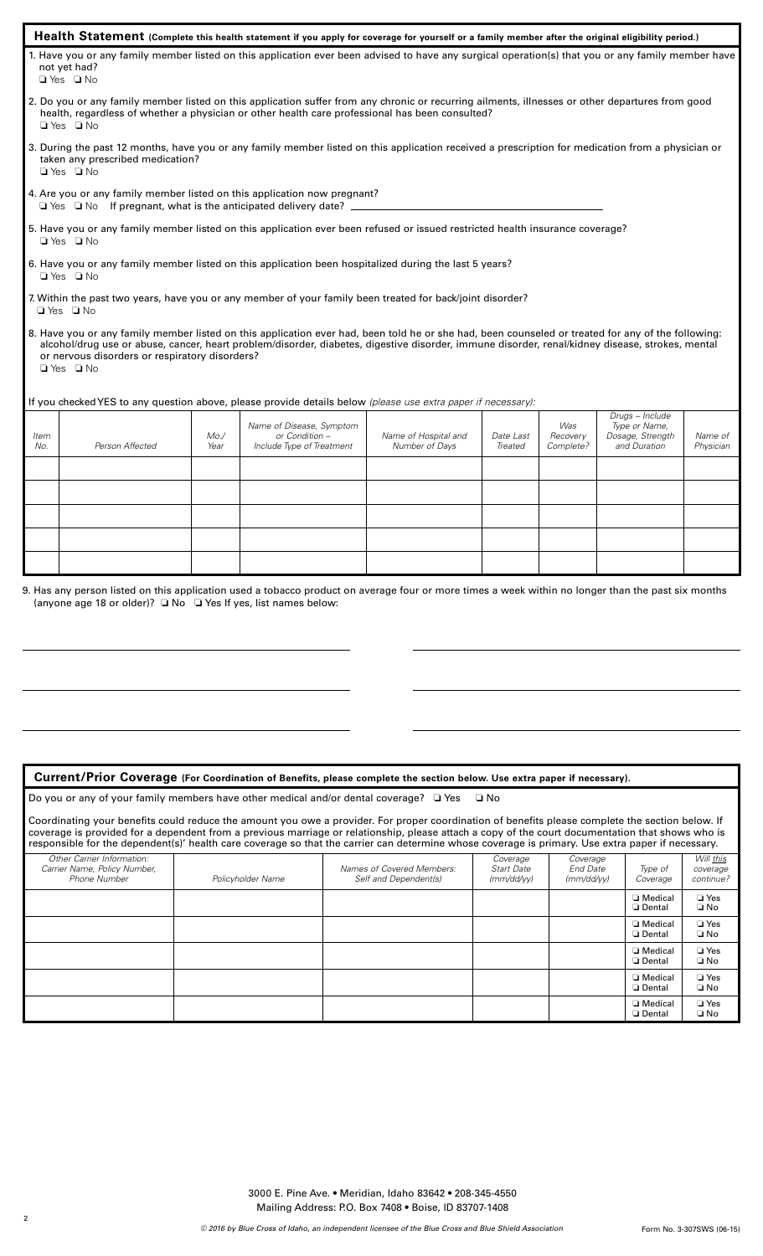| Health Statement (Complete this health statement if you apply for coverage for yourself or a family member after the original eligibility period.)                                                                                                                                                                                                                              |                                                                                        |                                        |                      |                              |                                                                      |                      |
|---------------------------------------------------------------------------------------------------------------------------------------------------------------------------------------------------------------------------------------------------------------------------------------------------------------------------------------------------------------------------------|----------------------------------------------------------------------------------------|----------------------------------------|----------------------|------------------------------|----------------------------------------------------------------------|----------------------|
| 1. Have you or any family member listed on this application ever been advised to have any surgical operation(s) that you or any family member have<br>not yet had?<br>$\Box$ Yes $\Box$ No                                                                                                                                                                                      |                                                                                        |                                        |                      |                              |                                                                      |                      |
| 2. Do you or any family member listed on this application suffer from any chronic or recurring ailments, illnesses or other departures from good<br>health, regardless of whether a physician or other health care professional has been consulted?<br>$\Box$ Yes $\Box$ No                                                                                                     |                                                                                        |                                        |                      |                              |                                                                      |                      |
| 3. During the past 12 months, have you or any family member listed on this application received a prescription for medication from a physician or<br>taken any prescribed medication?<br>$\Box$ Yes $\Box$ No                                                                                                                                                                   |                                                                                        |                                        |                      |                              |                                                                      |                      |
| 4. Are you or any family member listed on this application now pregnant?<br>$\Box$ Yes $\Box$ No If pregnant, what is the anticipated delivery date? $\Box$                                                                                                                                                                                                                     |                                                                                        |                                        |                      |                              |                                                                      |                      |
| 5. Have you or any family member listed on this application ever been refused or issued restricted health insurance coverage?<br>□ Yes □ No                                                                                                                                                                                                                                     |                                                                                        |                                        |                      |                              |                                                                      |                      |
| 6. Have you or any family member listed on this application been hospitalized during the last 5 years?<br>$\Box$ Yes $\Box$ No                                                                                                                                                                                                                                                  |                                                                                        |                                        |                      |                              |                                                                      |                      |
| 7. Within the past two years, have you or any member of your family been treated for back/joint disorder?<br>$\Box$ Yes $\Box$ No                                                                                                                                                                                                                                               |                                                                                        |                                        |                      |                              |                                                                      |                      |
| 8. Have you or any family member listed on this application ever had, been told he or she had, been counseled or treated for any of the following:<br>alcohol/drug use or abuse, cancer, heart problem/disorder, diabetes, digestive disorder, immune disorder, renal/kidney disease, strokes, mental<br>or nervous disorders or respiratory disorders?<br>$\Box$ Yes $\Box$ No |                                                                                        |                                        |                      |                              |                                                                      |                      |
| If you checked YES to any question above, please provide details below (please use extra paper if necessary):                                                                                                                                                                                                                                                                   |                                                                                        |                                        |                      |                              |                                                                      |                      |
| Item<br>Person Affected<br>No.                                                                                                                                                                                                                                                                                                                                                  | Name of Disease, Symptom<br>Mo.<br>or Condition -<br>Year<br>Include Type of Treatment | Name of Hospital and<br>Number of Days | Date Last<br>Treated | Was<br>Recovery<br>Complete? | Drugs - Include<br>Type or Name,<br>Dosage, Strength<br>and Duration | Name of<br>Physician |
|                                                                                                                                                                                                                                                                                                                                                                                 |                                                                                        |                                        |                      |                              |                                                                      |                      |
|                                                                                                                                                                                                                                                                                                                                                                                 |                                                                                        |                                        |                      |                              |                                                                      |                      |
|                                                                                                                                                                                                                                                                                                                                                                                 |                                                                                        |                                        |                      |                              |                                                                      |                      |
|                                                                                                                                                                                                                                                                                                                                                                                 |                                                                                        |                                        |                      |                              |                                                                      |                      |
| 9. Has any person listed on this application used a tobacco product on average four or more times a week within no longer than the past six months<br>(anyone age 18 or older)? $\Box$ No $\Box$ Yes If yes, list names below:                                                                                                                                                  |                                                                                        |                                        |                      |                              |                                                                      |                      |

## **Current/Prior Coverage (For Coordination of Benefits, please complete the section below. Use extra paper if necessary).**

| Do you or any of your family members have other medical and/or dental coverage? □ Yes □ No |  |
|--------------------------------------------------------------------------------------------|--|
|--------------------------------------------------------------------------------------------|--|

Coordinating your benefits could reduce the amount you owe a provider. For proper coordination of benefits please complete the section below. If coverage is provided for a dependent from a previous marriage or relationship, please attach a copy of the court documentation that shows who is responsible for the dependent(s)' health care coverage so that the carrier can determine whose coverage is primary. Use extra paper if necessary.

| Other Carrier Information:<br>Carrier Name, Policy Number,<br>Phone Number | Policyholder Name | Names of Covered Members:<br>Self and Dependent(s) | Coverage<br><b>Start Date</b><br>(mm/dd/yy) | Coverage<br><b>End Date</b><br>$\frac{m}{d}$ | Type of<br>Coverage   | Will this<br>coverage<br>continue? |
|----------------------------------------------------------------------------|-------------------|----------------------------------------------------|---------------------------------------------|----------------------------------------------|-----------------------|------------------------------------|
|                                                                            |                   |                                                    |                                             |                                              | □ Medical<br>□ Dental | $\Box$ Yes<br>$\square$ No         |
|                                                                            |                   |                                                    |                                             |                                              | □ Medical<br>□ Dental | $\Box$ Yes<br>$\square$ No         |
|                                                                            |                   |                                                    |                                             |                                              | □ Medical<br>□ Dental | $\Box$ Yes<br>$\square$ No         |
|                                                                            |                   |                                                    |                                             |                                              | □ Medical<br>□ Dental | $\Box$ Yes<br>$\square$ No         |
|                                                                            |                   |                                                    |                                             |                                              | □ Medical<br>□ Dental | $\Box$ Yes<br>$\square$ No         |

3000 E. Pine Ave. • Meridian, Idaho 83642 • 208-345-4550 Mailing Address: P.O. Box 7408 • Boise, ID 83707-1408